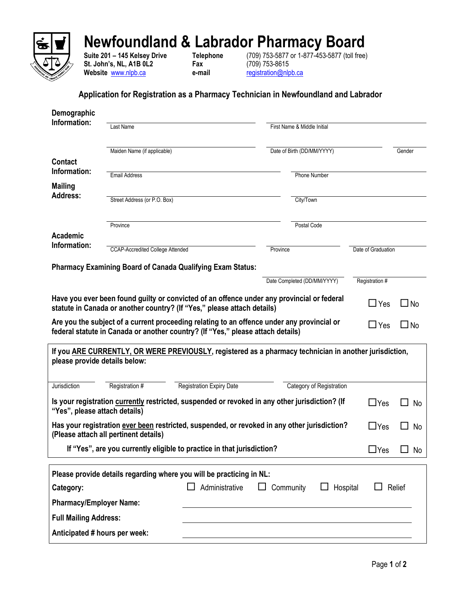

## **Newfoundland & Labrador Pharmacy Board**

**St. John's, NL, A1B 0L2 Fax** (709) 753-8615 **Website** [www.nlpb.ca](http://www.nlpb.ca/) **e-mail** [registration@nlpb.ca](mailto:registration@nlpb.ca)

**Suite 201 – 145 Kelsey Drive Telephone** (709) 753-5877 or 1-877-453-5877 (toll free)

## **Application for Registration as a Pharmacy Technician in Newfoundland and Labrador**

| Demographic                                                                                                                                                                            |                                                                      |                                 |          |                             |                    |              |  |  |  |
|----------------------------------------------------------------------------------------------------------------------------------------------------------------------------------------|----------------------------------------------------------------------|---------------------------------|----------|-----------------------------|--------------------|--------------|--|--|--|
| Information:                                                                                                                                                                           | Last Name<br>First Name & Middle Initial                             |                                 |          |                             |                    |              |  |  |  |
|                                                                                                                                                                                        | Maiden Name (if applicable)                                          |                                 |          | Date of Birth (DD/MM/YYYY)  |                    | Gender       |  |  |  |
| <b>Contact</b>                                                                                                                                                                         |                                                                      |                                 |          |                             |                    |              |  |  |  |
| Information:                                                                                                                                                                           | <b>Email Address</b>                                                 |                                 |          | <b>Phone Number</b>         |                    |              |  |  |  |
| <b>Mailing</b>                                                                                                                                                                         |                                                                      |                                 |          |                             |                    |              |  |  |  |
| <b>Address:</b>                                                                                                                                                                        | Street Address (or P.O. Box)                                         |                                 |          | City/Town                   |                    |              |  |  |  |
|                                                                                                                                                                                        | Province                                                             |                                 |          | Postal Code                 |                    |              |  |  |  |
| Academic                                                                                                                                                                               |                                                                      |                                 |          |                             |                    |              |  |  |  |
| Information:                                                                                                                                                                           | <b>CCAP-Accredited College Attended</b>                              |                                 | Province |                             | Date of Graduation |              |  |  |  |
| <b>Pharmacy Examining Board of Canada Qualifying Exam Status:</b>                                                                                                                      |                                                                      |                                 |          |                             |                    |              |  |  |  |
|                                                                                                                                                                                        |                                                                      |                                 |          | Date Completed (DD/MM/YYYY) | Registration #     |              |  |  |  |
| Have you ever been found guilty or convicted of an offence under any provincial or federal<br>$\square$ Yes<br>statute in Canada or another country? (If "Yes," please attach details) |                                                                      |                                 |          |                             |                    | ⊿ No         |  |  |  |
| Are you the subject of a current proceeding relating to an offence under any provincial or<br>federal statute in Canada or another country? (If "Yes," please attach details)          |                                                                      |                                 |          |                             |                    | $\square$ No |  |  |  |
| If you ARE CURRENTLY, OR WERE PREVIOUSLY, registered as a pharmacy technician in another jurisdiction,<br>please provide details below:                                                |                                                                      |                                 |          |                             |                    |              |  |  |  |
| Jurisdiction                                                                                                                                                                           | Registration #                                                       | <b>Registration Expiry Date</b> |          | Category of Registration    |                    |              |  |  |  |
| Is your registration currently restricted, suspended or revoked in any other jurisdiction? (If<br>$\Box$ Yes<br>No<br>"Yes", please attach details)                                    |                                                                      |                                 |          |                             |                    |              |  |  |  |
| Has your registration ever been restricted, suspended, or revoked in any other jurisdiction?<br>$\Box$ Yes<br>No<br>(Please attach all pertinent details)                              |                                                                      |                                 |          |                             |                    |              |  |  |  |
| If "Yes", are you currently eligible to practice in that jurisdiction?                                                                                                                 |                                                                      |                                 |          |                             |                    | No           |  |  |  |
|                                                                                                                                                                                        | Please provide details regarding where you will be practicing in NL: |                                 |          |                             |                    |              |  |  |  |
| Administrative<br>Community<br>Hospital<br>Relief<br>Category:                                                                                                                         |                                                                      |                                 |          |                             |                    |              |  |  |  |
| <b>Pharmacy/Employer Name:</b>                                                                                                                                                         |                                                                      |                                 |          |                             |                    |              |  |  |  |
| <b>Full Mailing Address:</b>                                                                                                                                                           |                                                                      |                                 |          |                             |                    |              |  |  |  |
| Anticipated # hours per week:                                                                                                                                                          |                                                                      |                                 |          |                             |                    |              |  |  |  |